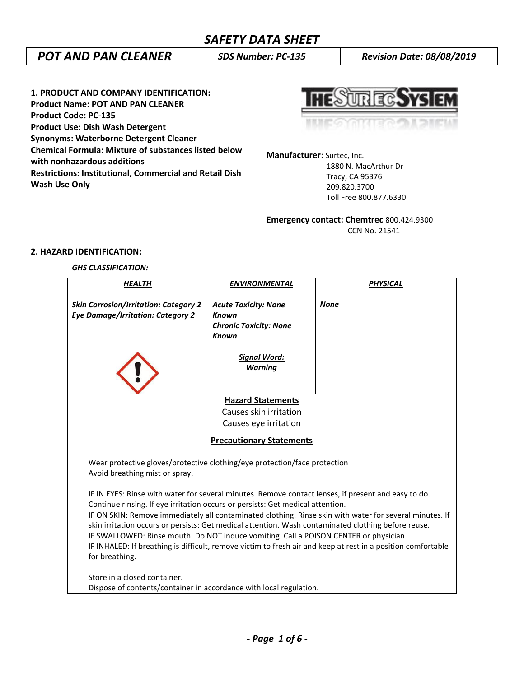# *POT AND PAN CLEANER SDS Number: PC-135 Revision Date: 08/08/2019*

**1. PRODUCT AND COMPANY IDENTIFICATION: Product Name: POT AND PAN CLEANER Product Code: PC-135 Product Use: Dish Wash Detergent Synonyms: Waterborne Detergent Cleaner Chemical Formula: Mixture of substances listed below with nonhazardous additions Restrictions: Institutional, Commercial and Retail Dish Wash Use Only**



**Manufacturer**: Surtec, Inc. 1880 N. MacArthur Dr Tracy, CA 95376 209.820.3700

Toll Free 800.877.6330

**Emergency contact: Chemtrec** 800.424.9300 CCN No. 21541

## **2. HAZARD IDENTIFICATION:**

## *GHS CLASSIFICATION:*

| <b>HEALTH</b>                                                                                                                                                                                                                                                                                                                                                                                           | <b>ENVIRONMENTAL</b>                                                                  | <b>PHYSICAL</b>                                                                                                                                                                                                         |  |  |
|---------------------------------------------------------------------------------------------------------------------------------------------------------------------------------------------------------------------------------------------------------------------------------------------------------------------------------------------------------------------------------------------------------|---------------------------------------------------------------------------------------|-------------------------------------------------------------------------------------------------------------------------------------------------------------------------------------------------------------------------|--|--|
| <b>Skin Corrosion/Irritation: Category 2</b><br><b>Eye Damage/Irritation: Category 2</b>                                                                                                                                                                                                                                                                                                                | <b>Acute Toxicity: None</b><br>Known<br><b>Chronic Toxicity: None</b><br><b>Known</b> | <b>None</b>                                                                                                                                                                                                             |  |  |
|                                                                                                                                                                                                                                                                                                                                                                                                         | <b>Signal Word:</b><br><b>Warning</b>                                                 |                                                                                                                                                                                                                         |  |  |
|                                                                                                                                                                                                                                                                                                                                                                                                         | <b>Hazard Statements</b>                                                              |                                                                                                                                                                                                                         |  |  |
| Causes skin irritation                                                                                                                                                                                                                                                                                                                                                                                  |                                                                                       |                                                                                                                                                                                                                         |  |  |
|                                                                                                                                                                                                                                                                                                                                                                                                         | Causes eye irritation                                                                 |                                                                                                                                                                                                                         |  |  |
|                                                                                                                                                                                                                                                                                                                                                                                                         | <b>Precautionary Statements</b>                                                       |                                                                                                                                                                                                                         |  |  |
| Wear protective gloves/protective clothing/eye protection/face protection<br>Avoid breathing mist or spray.                                                                                                                                                                                                                                                                                             |                                                                                       |                                                                                                                                                                                                                         |  |  |
| IF IN EYES: Rinse with water for several minutes. Remove contact lenses, if present and easy to do.<br>Continue rinsing. If eye irritation occurs or persists: Get medical attention.<br>skin irritation occurs or persists: Get medical attention. Wash contaminated clothing before reuse.<br>IF SWALLOWED: Rinse mouth. Do NOT induce vomiting. Call a POISON CENTER or physician.<br>for breathing. |                                                                                       | IF ON SKIN: Remove immediately all contaminated clothing. Rinse skin with water for several minutes. If<br>IF INHALED: If breathing is difficult, remove victim to fresh air and keep at rest in a position comfortable |  |  |
| Store in a closed container.                                                                                                                                                                                                                                                                                                                                                                            |                                                                                       |                                                                                                                                                                                                                         |  |  |
|                                                                                                                                                                                                                                                                                                                                                                                                         | Dispose of contents/container in accordance with local regulation.                    |                                                                                                                                                                                                                         |  |  |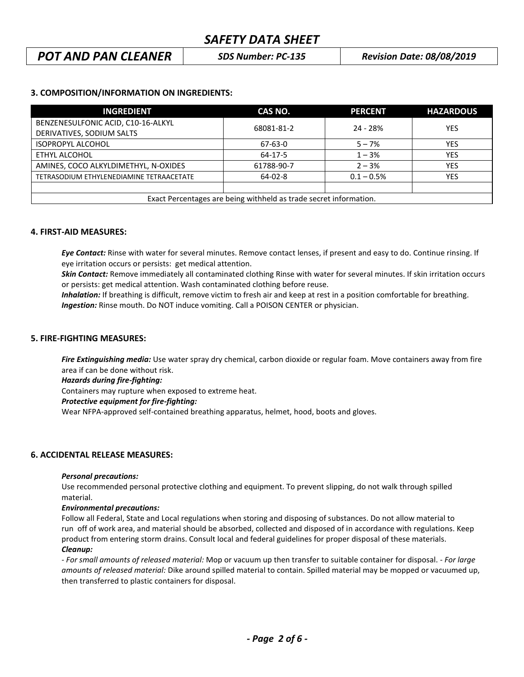## *POT AND PAN CLEANER SDS Number: PC-135 Revision Date: 08/08/2019*

## **3. COMPOSITION/INFORMATION ON INGREDIENTS:**

| <b>INGREDIENT</b>                                                 | CAS NO.    | <b>PERCENT</b> | <b>HAZARDOUS</b> |
|-------------------------------------------------------------------|------------|----------------|------------------|
| BENZENESULFONIC ACID, C10-16-ALKYL                                | 68081-81-2 | 24 - 28%       | YES              |
| DERIVATIVES, SODIUM SALTS                                         |            |                |                  |
| <b>ISOPROPYL ALCOHOL</b>                                          | 67-63-0    | $5 - 7%$       | YES              |
| ETHYL ALCOHOL                                                     | $64-17-5$  | $1 - 3%$       | <b>YES</b>       |
| AMINES, COCO ALKYLDIMETHYL, N-OXIDES                              | 61788-90-7 | $2 - 3%$       | <b>YES</b>       |
| TETRASODIUM ETHYLENEDIAMINE TETRAACETATE                          | 64-02-8    | $0.1 - 0.5%$   | <b>YES</b>       |
|                                                                   |            |                |                  |
| Exact Percentages are being withheld as trade secret information. |            |                |                  |

#### **4. FIRST-AID MEASURES:**

*Eye Contact:* Rinse with water for several minutes. Remove contact lenses, if present and easy to do. Continue rinsing. If eye irritation occurs or persists: get medical attention.

*Skin Contact:* Remove immediately all contaminated clothing Rinse with water for several minutes. If skin irritation occurs or persists: get medical attention. Wash contaminated clothing before reuse.

 *Inhalation:* If breathing is difficult, remove victim to fresh air and keep at rest in a position comfortable for breathing. *Ingestion:* Rinse mouth. Do NOT induce vomiting. Call a POISON CENTER or physician.

#### **5. FIRE-FIGHTING MEASURES:**

*Fire Extinguishing media:* Use water spray dry chemical, carbon dioxide or regular foam. Move containers away from fire area if can be done without risk.

*Hazards during fire-fighting:*

Containers may rupture when exposed to extreme heat.

#### *Protective equipment for fire-fighting:*

Wear NFPA-approved self-contained breathing apparatus, helmet, hood, boots and gloves.

## **6. ACCIDENTAL RELEASE MEASURES:**

#### *Personal precautions:*

Use recommended personal protective clothing and equipment. To prevent slipping, do not walk through spilled material.

#### *Environmental precautions:*

Follow all Federal, State and Local regulations when storing and disposing of substances. Do not allow material to run off of work area, and material should be absorbed, collected and disposed of in accordance with regulations. Keep product from entering storm drains. Consult local and federal guidelines for proper disposal of these materials. *Cleanup:*

*- For small amounts of released material:* Mop or vacuum up then transfer to suitable container for disposal. - *For large amounts of released material:* Dike around spilled material to contain. Spilled material may be mopped or vacuumed up, then transferred to plastic containers for disposal.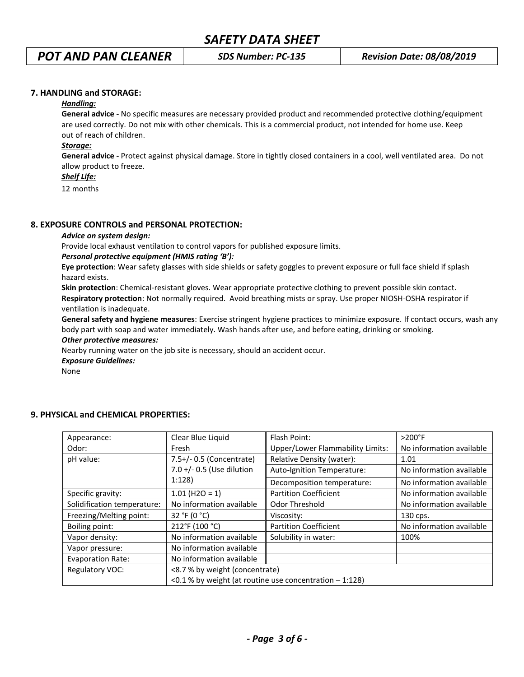# *POT AND PAN CLEANER SDS Number: PC-135 Revision Date: 08/08/2019*

## **7. HANDLING and STORAGE:**

## *Handling:*

**General advice -** No specific measures are necessary provided product and recommended protective clothing/equipment are used correctly. Do not mix with other chemicals. This is a commercial product, not intended for home use. Keep out of reach of children.

#### *Storage:*

**General advice -** Protect against physical damage. Store in tightly closed containers in a cool, well ventilated area. Do not allow product to freeze.

#### *Shelf Life:*

12 months

## **8. EXPOSURE CONTROLS and PERSONAL PROTECTION:**

#### *Advice on system design:*

Provide local exhaust ventilation to control vapors for published exposure limits.

#### *Personal protective equipment (HMIS rating 'B'):*

**Eye protection**: Wear safety glasses with side shields or safety goggles to prevent exposure or full face shield if splash hazard exists.

**Skin protection**: Chemical-resistant gloves. Wear appropriate protective clothing to prevent possible skin contact. **Respiratory protection**: Not normally required. Avoid breathing mists or spray. Use proper NIOSH-OSHA respirator if ventilation is inadequate.

**General safety and hygiene measures**: Exercise stringent hygiene practices to minimize exposure. If contact occurs, wash any body part with soap and water immediately. Wash hands after use, and before eating, drinking or smoking.

#### *Other protective measures:*

Nearby running water on the job site is necessary, should an accident occur.

*Exposure Guidelines:*

None

| Appearance:                 | Clear Blue Liquid                                         | Flash Point:                            | $>200^\circ F$           |
|-----------------------------|-----------------------------------------------------------|-----------------------------------------|--------------------------|
| Odor:                       | Fresh                                                     | <b>Upper/Lower Flammability Limits:</b> | No information available |
| pH value:                   | 7.5+/- 0.5 (Concentrate)                                  | Relative Density (water):               | 1.01                     |
|                             | 7.0 +/- 0.5 (Use dilution                                 | Auto-Ignition Temperature:              | No information available |
|                             | 1:128                                                     | Decomposition temperature:              | No information available |
| Specific gravity:           | $1.01$ (H2O = 1)                                          | <b>Partition Coefficient</b>            | No information available |
| Solidification temperature: | No information available                                  | Odor Threshold                          | No information available |
| Freezing/Melting point:     | 32 °F (0 °C)                                              | Viscosity:                              | 130 cps.                 |
| Boiling point:              | 212°F (100 °C)                                            | <b>Partition Coefficient</b>            | No information available |
| Vapor density:              | No information available                                  | Solubility in water:                    | 100%                     |
| Vapor pressure:             | No information available                                  |                                         |                          |
| <b>Evaporation Rate:</b>    | No information available                                  |                                         |                          |
| Regulatory VOC:             | <8.7 % by weight (concentrate)                            |                                         |                          |
|                             | <0.1 % by weight (at routine use concentration $-1:128$ ) |                                         |                          |

## **9. PHYSICAL and CHEMICAL PROPERTIES:**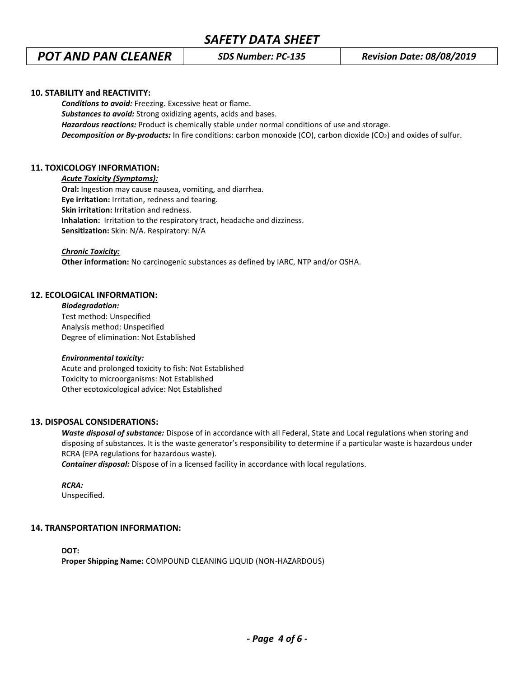# *POT AND PAN CLEANER SDS Number: PC-135 Revision Date: 08/08/2019*

### **10. STABILITY and REACTIVITY:**

*Conditions to avoid:* Freezing. Excessive heat or flame. *Substances to avoid:* Strong oxidizing agents, acids and bases. *Hazardous reactions:* Product is chemically stable under normal conditions of use and storage. *Decomposition or By-products:* In fire conditions: carbon monoxide (CO), carbon dioxide (CO2) and oxides of sulfur.

## **11. TOXICOLOGY INFORMATION:**

#### *Acute Toxicity (Symptoms):*

**Oral:** Ingestion may cause nausea, vomiting, and diarrhea. **Eye irritation:** Irritation, redness and tearing. **Skin irritation:** Irritation and redness. **Inhalation:** Irritation to the respiratory tract, headache and dizziness. **Sensitization:** Skin: N/A. Respiratory: N/A

#### *Chronic Toxicity:*

**Other information:** No carcinogenic substances as defined by IARC, NTP and/or OSHA.

#### **12. ECOLOGICAL INFORMATION:**

*Biodegradation:* Test method: Unspecified Analysis method: Unspecified Degree of elimination: Not Established

#### *Environmental toxicity:*

Acute and prolonged toxicity to fish: Not Established Toxicity to microorganisms: Not Established Other ecotoxicological advice: Not Established

### **13. DISPOSAL CONSIDERATIONS:**

*Waste disposal of substance:* Dispose of in accordance with all Federal, State and Local regulations when storing and disposing of substances. It is the waste generator's responsibility to determine if a particular waste is hazardous under RCRA (EPA regulations for hazardous waste).

*Container disposal:* Dispose of in a licensed facility in accordance with local regulations.

*RCRA:*

Unspecified.

#### **14. TRANSPORTATION INFORMATION:**

**DOT: Proper Shipping Name:** COMPOUND CLEANING LIQUID (NON-HAZARDOUS)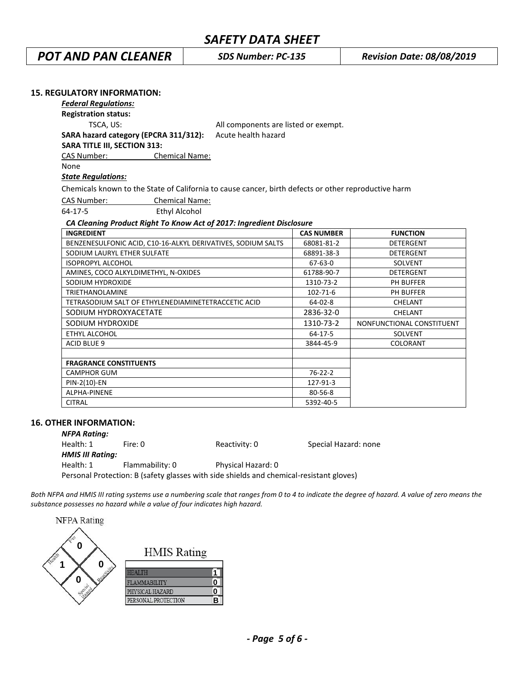*POT AND PAN CLEANER SDS Number: PC-135 Revision Date: 08/08/2019*

| <b>15. REGULATORY INFORMATION:</b>                                                                   |                                      |                   |                           |
|------------------------------------------------------------------------------------------------------|--------------------------------------|-------------------|---------------------------|
| <b>Federal Regulations:</b>                                                                          |                                      |                   |                           |
| <b>Registration status:</b>                                                                          |                                      |                   |                           |
| TSCA, US:                                                                                            | All components are listed or exempt. |                   |                           |
| SARA hazard category (EPCRA 311/312):                                                                | Acute health hazard                  |                   |                           |
| <b>SARA TITLE III, SECTION 313:</b>                                                                  |                                      |                   |                           |
| CAS Number:                                                                                          | <b>Chemical Name:</b>                |                   |                           |
| None                                                                                                 |                                      |                   |                           |
| <b>State Regulations:</b>                                                                            |                                      |                   |                           |
| Chemicals known to the State of California to cause cancer, birth defects or other reproductive harm |                                      |                   |                           |
| CAS Number:                                                                                          | <b>Chemical Name:</b>                |                   |                           |
| $64-17-5$<br><b>Ethyl Alcohol</b>                                                                    |                                      |                   |                           |
| CA Cleaning Product Right To Know Act of 2017: Ingredient Disclosure                                 |                                      |                   |                           |
| <b>INGREDIENT</b>                                                                                    |                                      | <b>CAS NUMBER</b> | <b>FUNCTION</b>           |
| BENZENESULFONIC ACID, C10-16-ALKYL DERIVATIVES, SODIUM SALTS                                         |                                      | 68081-81-2        | <b>DETERGENT</b>          |
| SODIUM LAURYL ETHER SULFATE                                                                          |                                      | 68891-38-3        | <b>DETERGENT</b>          |
| <b>ISOPROPYL ALCOHOL</b>                                                                             |                                      | $67 - 63 - 0$     | <b>SOLVENT</b>            |
| AMINES, COCO ALKYLDIMETHYL, N-OXIDES                                                                 |                                      | 61788-90-7        | <b>DETERGENT</b>          |
| SODIUM HYDROXIDE                                                                                     |                                      | 1310-73-2         | <b>PH BUFFER</b>          |
| <b>TRIETHANOLAMINE</b>                                                                               |                                      | $102 - 71 - 6$    | PH BUFFER                 |
| TETRASODIUM SALT OF ETHYLENEDIAMINETETRACCETIC ACID                                                  |                                      | $64 - 02 - 8$     | CHELANT                   |
| SODIUM HYDROXYACETATE                                                                                |                                      | 2836-32-0         | CHELANT                   |
| SODIUM HYDROXIDE                                                                                     |                                      | 1310-73-2         | NONFUNCTIONAL CONSTITUENT |
| ETHYL ALCOHOL                                                                                        |                                      | $64 - 17 - 5$     | <b>SOLVENT</b>            |
| <b>ACID BLUE 9</b>                                                                                   |                                      | 3844-45-9         | COLORANT                  |
| <b>FRAGRANCE CONSTITUENTS</b>                                                                        |                                      |                   |                           |
| <b>CAMPHOR GUM</b>                                                                                   |                                      | $76 - 22 - 2$     |                           |
| PIN-2(10)-EN                                                                                         |                                      | 127-91-3          |                           |
| ALPHA-PINENE                                                                                         |                                      | 80-56-8           |                           |
| <b>CITRAL</b>                                                                                        |                                      | 5392-40-5         |                           |

## **16. OTHER INFORMATION:**

| <b>NFPA Rating:</b>     |                                                                                         |                    |                      |
|-------------------------|-----------------------------------------------------------------------------------------|--------------------|----------------------|
| Health: 1               | Fire: 0                                                                                 | Reactivity: 0      | Special Hazard: none |
| <b>HMIS III Rating:</b> |                                                                                         |                    |                      |
| Health: 1               | Flammability: 0                                                                         | Physical Hazard: 0 |                      |
|                         | Personal Protection: B (safety glasses with side shields and chemical-resistant gloves) |                    |                      |

*Both NFPA and HMIS III rating systems use a numbering scale that ranges from 0 to 4 to indicate the degree of hazard. A value of zero means the substance possesses no hazard while a value of four indicates high hazard.*